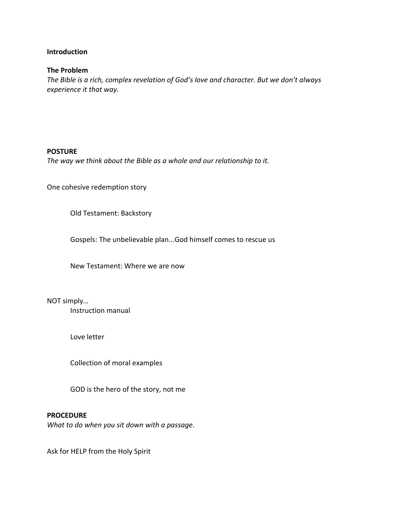#### **Introduction**

#### **The Problem**

*The Bible is a rich, complex revelation of God's love and character. But we don't always experience it that way.*

#### **POSTURE**

*The way we think about the Bible as a whole and our relationship to it.*

One cohesive redemption story

Old Testament: Backstory

Gospels: The unbelievable plan...God himself comes to rescue us

New Testament: Where we are now

NOT simply…

Instruction manual

Love letter

Collection of moral examples

GOD is the hero of the story, not me

#### **PROCEDURE**

*What to do when you sit down with a passage.*

Ask for HELP from the Holy Spirit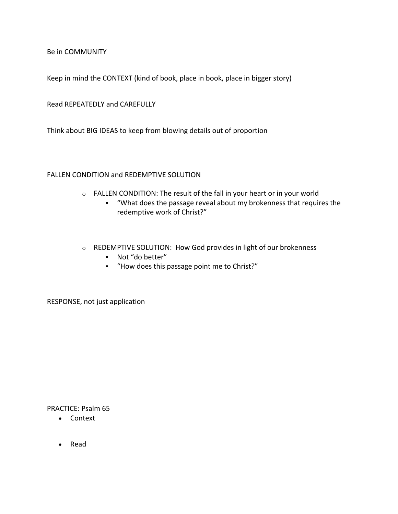Be in COMMUNITY

Keep in mind the CONTEXT (kind of book, place in book, place in bigger story)

Read REPEATEDLY and CAREFULLY

Think about BIG IDEAS to keep from blowing details out of proportion

# FALLEN CONDITION and REDEMPTIVE SOLUTION

- o FALLEN CONDITION: The result of the fall in your heart or in your world
	- § "What does the passage reveal about my brokenness that requires the redemptive work of Christ?"
- o REDEMPTIVE SOLUTION: How God provides in light of our brokenness
	- § Not "do better"
	- § "How does this passage point me to Christ?"

RESPONSE, not just application

PRACTICE: Psalm 65

- Context
- Read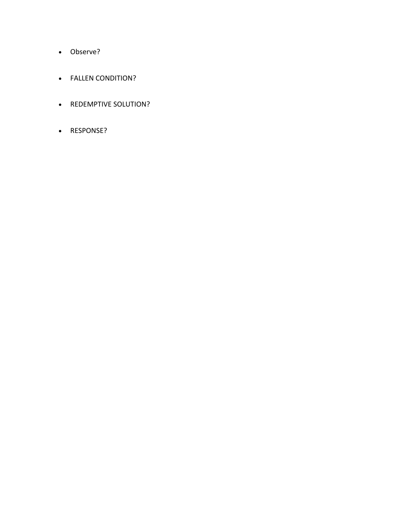- Observe?
- FALLEN CONDITION?
- REDEMPTIVE SOLUTION?
- RESPONSE?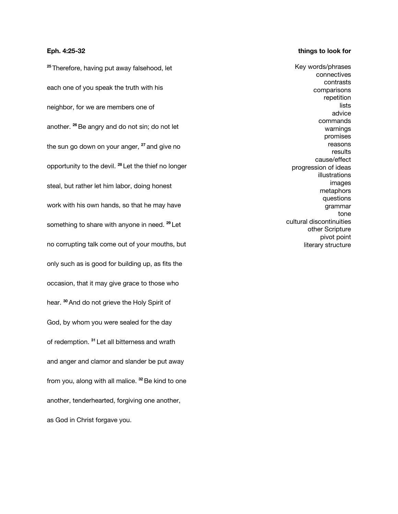#### **Eph. 4:25-32**

**<sup>25</sup>** Therefore, having put away falsehood, let each one of you speak the truth with his neighbor, for we are members one of another. **<sup>26</sup>**Be angry and do not sin; do not let the sun go down on your anger, **<sup>27</sup>** and give no opportunity to the devil. **<sup>28</sup>** Let the thief no longer steal, but rather let him labor, doing honest work with his own hands, so that he may have something to share with anyone in need. **<sup>29</sup>** Let no corrupting talk come out of your mouths, but only such as is good for building up, as fits the occasion, that it may give grace to those who hear. **<sup>30</sup>** And do not grieve the Holy Spirit of God, by whom you were sealed for the day of redemption. **<sup>31</sup>** Let all bitterness and wrath and anger and clamor and slander be put away from you, along with all malice. **<sup>32</sup>**Be kind to one another, tenderhearted, forgiving one another, as God in Christ forgave you.

#### **things to look for**

Key words/phrases connectives contrasts comparisons repetition lists advice commands warnings promises reasons results cause/effect progression of ideas illustrations images metaphors questions grammar tone cultural discontinuities other Scripture pivot point literary structure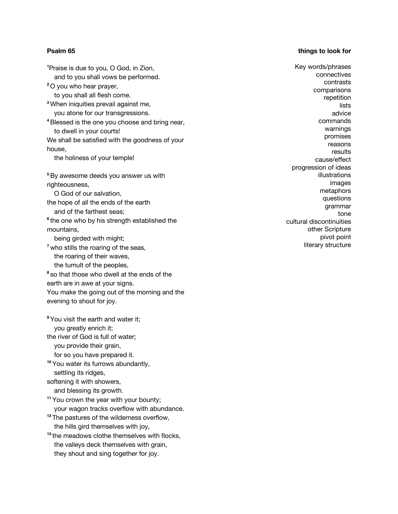#### **Psalm 65**

#### **things to look for**

**1** Praise is due to you, O God, in Zion, and to you shall vows be performed. **<sup>2</sup>** O you who hear prayer, to you shall all flesh come. **<sup>3</sup>** When iniquities prevail against me, you atone for our transgressions. **<sup>4</sup>**Blessed is the one you choose and bring near, to dwell in your courts! We shall be satisfied with the goodness of your house, the holiness of your temple! **<sup>5</sup>**By awesome deeds you answer us with righteousness, O God of our salvation, the hope of all the ends of the earth and of the farthest seas; **<sup>6</sup>** the one who by his strength established the mountains, being girded with might; <sup>7</sup> who stills the roaring of the seas, the roaring of their waves, the tumult of the peoples, **<sup>8</sup>** so that those who dwell at the ends of the earth are in awe at your signs. You make the going out of the morning and the evening to shout for joy. **<sup>9</sup>** You visit the earth and water it; you greatly enrich it; the river of God is full of water; you provide their grain, for so you have prepared it. **<sup>10</sup>** You water its furrows abundantly, settling its ridges, softening it with showers, and blessing its growth. **<sup>11</sup>** You crown the year with your bounty; your wagon tracks overflow with abundance. **<sup>12</sup>** The pastures of the wilderness overflow, the hills gird themselves with joy, **<sup>13</sup>** the meadows clothe themselves with flocks, the valleys deck themselves with grain, they shout and sing together for joy.

Key words/phrases connectives contrasts comparisons repetition lists advice commands warnings promises reasons results cause/effect progression of ideas illustrations images metaphors questions grammar tone cultural discontinuities other Scripture pivot point literary structure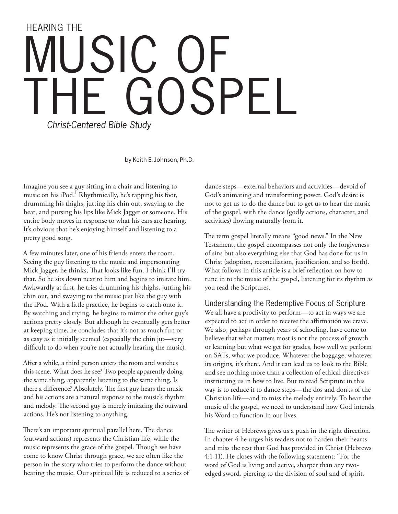# HEARING THE USIC GOSPEL *Christ-Centered Bible Study*

by Keith E. Johnson, Ph.D.

Imagine you see a guy sitting in a chair and listening to music on his iPod.<sup>1</sup> Rhythmically, he's tapping his foot, drumming his thighs, jutting his chin out, swaying to the beat, and pursing his lips like Mick Jagger or someone. His entire body moves in response to what his ears are hearing. It's obvious that he's enjoying himself and listening to a pretty good song.

A few minutes later, one of his friends enters the room. Seeing the guy listening to the music and impersonating Mick Jagger, he thinks, That looks like fun. I think I'll try that. So he sits down next to him and begins to imitate him. Awkwardly at first, he tries drumming his thighs, jutting his chin out, and swaying to the music just like the guy with the iPod. With a little practice, he begins to catch onto it. By watching and trying, he begins to mirror the other guy's actions pretty closely. But although he eventually gets better at keeping time, he concludes that it's not as much fun or as easy as it initially seemed (especially the chin jut—very difficult to do when you're not actually hearing the music).

After a while, a third person enters the room and watches this scene. What does he see? Two people apparently doing the same thing, apparently listening to the same thing. Is there a difference? Absolutely. The first guy hears the music and his actions are a natural response to the music's rhythm and melody. The second guy is merely imitating the outward actions. He's not listening to anything.

There's an important spiritual parallel here. The dance (outward actions) represents the Christian life, while the music represents the grace of the gospel. Though we have come to know Christ through grace, we are often like the person in the story who tries to perform the dance without hearing the music. Our spiritual life is reduced to a series of

dance steps—external behaviors and activities—devoid of God's animating and transforming power. God's desire is not to get us to do the dance but to get us to hear the music of the gospel, with the dance (godly actions, character, and activities) flowing naturally from it.

The term gospel literally means "good news." In the New Testament, the gospel encompasses not only the forgiveness of sins but also everything else that God has done for us in Christ (adoption, reconciliation, justification, and so forth). What follows in this article is a brief reflection on how to tune in to the music of the gospel, listening for its rhythm as you read the Scriptures.

## Understanding the Redemptive Focus of Scripture

We all have a proclivity to perform—to act in ways we are expected to act in order to receive the affirmation we crave. We also, perhaps through years of schooling, have come to believe that what matters most is not the process of growth or learning but what we get for grades, how well we perform on SATs, what we produce. Whatever the baggage, whatever its origins, it's there. And it can lead us to look to the Bible and see nothing more than a collection of ethical directives instructing us in how to live. But to read Scripture in this way is to reduce it to dance steps—the dos and don'ts of the Christian life—and to miss the melody entirely. To hear the music of the gospel, we need to understand how God intends his Word to function in our lives.

The writer of Hebrews gives us a push in the right direction. In chapter 4 he urges his readers not to harden their hearts and miss the rest that God has provided in Christ (Hebrews 4:1-11). He closes with the following statement: "For the word of God is living and active, sharper than any twoedged sword, piercing to the division of soul and of spirit,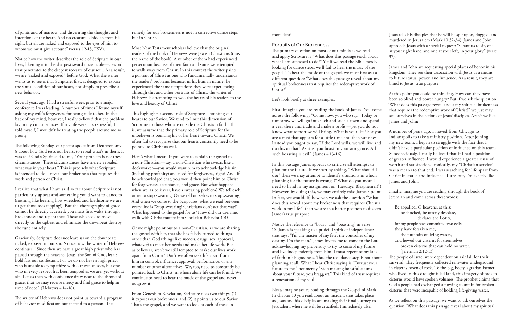Jesus tells his disciples that he will be spit upon, flogged, and murdered in Jerusalem (Mark 10:32-34), James and John approach Jesus with a special request: "Grant us to sit, one at your right hand and one at your left, in your glory" (verse 37).

James and John are requesting special places of honor in his kingdom. They see their association with Jesus as a means to future status, power, and influence. As a result, they are blind to Jesus' true purpose.

At this point you could be thinking, How can they have been so blind and power hungry? But if we ask the question "What does this passage reveal about my spiritual brokenness that requires the redemptive work of Christ?" we just may

The primary question on most of our minds as we read and apply Scripture is "What does this passage teach about what I am supposed to do?" Yet if we read the Bible merely looking for dance steps, we'll fail to hear the music of the gospel. To hear the music of the gospel, we must first ask a different question: "What does this passage reveal about my spiritual brokenness that requires the redemptive work of Christ?"

> God's people had exchanged a flowing fountain for broken cisterns that were incapable of holding life-giving water.

see ourselves in the actions of Jesus' disciples. Aren't we like James and John? A number of years ago, I moved from Chicago to Indianapolis to take a ministry position. After joining my new team, I began to struggle with the fact that I didn't have a particular position of influence on this team. Subconsciously, I really believed that if I had a position of greater influence, I would experience a greater sense of worth and satisfaction. Ironically, my "Christian service" was a means to that end. I was searching for life apart from Christ in status and influence. Turns out, I'm exactly like James and John. First, imagine you are reading the book of James. You come across the following: "Come now, you who say, 'Today or tomorrow we will go into such and such a town and spend a year there and trade and make a profit'—yet you do not know what tomorrow will bring. What is your life? For you are a mist that appears for a little time and then vanishes. Instead you ought to say, 'If the Lord wills, we will live and do this or that.' As it is, you boast in your arrogance. All such boasting is evil" (James 4:13-16). In this passage James appears to criticize all attempts to plan for the future. If we start by asking, "What should I do?" then we may attempt to identify situations in which planning for the future is wrong. ("What do you mean I

> As we reflect on this passage, we want to ask ourselves the question "What does this passage reveal about my spiritual

more detail.

#### Portraits of Our Brokenness

of joints and of marrow, and discerning the thoughts and intentions of the heart. And no creature is hidden from his sight, but all are naked and exposed to the eyes of him to whom we must give account" (verses 12-13, ESV).

> Finally, imagine you are reading through the book of Jeremiah and come across these words: Be appalled, O heavens, at this; be shocked, be utterly desolate, need to hand in my assignment on Tuesday?! Blasphemer!") However, by doing this, we may entirely miss James's point. In fact, we would. If, however, we ask the question "What does this reveal about my brokenness that requires Christ's work in my life?" then we are in a better position to discern James's true purpose.

Let's look briefly at three examples.

declares the LORD, for my people have committed two evils: they have forsaken me, the fountain of living waters, and hewed out cisterns for themselves, broken cisterns that can hold no water. (Jeremiah 2:12-13) The people of Israel were dependent on rainfall for their survival. They frequently collected rainwater underground in cisterns hewn of rock. To the big, beefy, agrarian farmer who lived in this drought-filled land, this imagery of broken cisterns would have spoken volumes. The prophet claims that Notice the reference to "boast" and "boasting" in verse 16. James is speaking to a prideful spirit of independence that says, "I'm the master of my fate, the controller of my destiny. I'm the man." James invites me to come to the Lord acknowledging my propensity to try to control my future and live independently from him. I must repent of my lack of faith in his goodness. Tus the real dance step is not about planning at all. What I hear Christ saying is "Entrust your future to me," not merely "Stop making boastful claims about your future, you braggart." This kind of trust requires a renovation of my soul.

The following Sunday, our pastor spoke from Deuteronomy 8 about how God tests our hearts to reveal what's in them. It was as if God's Spirit said to me, "Your problem is not these circumstances. These circumstances have merely revealed what was in your heart." This is precisely what Scripture is intended to do—reveal our brokenness that requires the work and person of Christ.

This highlights a second role of Scripture—pointing our hearts to our Savior. We tend to limit this dimension of Scripture to those who are outside the Christian faith. That is, we assume that the primary role of Scripture for the unbeliever is pointing his or her heart toward Christ. We often fail to recognize that our hearts constantly need to be pointed to Christ as well.

> Next, imagine you're reading through the Gospel of Mark. In chapter 10 you read about an incident that takes place as Jesus and his disciples are making their final journey to Jerusalem, where he will be crucified. Immediately after

From Genesis to Revelation, Scripture does two things: (1) it exposes our brokenness; and (2) it points us to our Savior. That's the gospel, and we want to look at each of these in

Notice how the writer describes the role of Scripture in our lives, likening it to the sharpest sword imaginable—a sword that penetrates to the deepest recesses of our soul. As a result, we are "naked and exposed" before God. What the writer wants us to see is that Scripture, first, is designed to expose the sinful condition of our heart, not simply to prescribe a new behavior.

Several years ago I had a stressful week prior to a major conference I was leading. A number of times I found myself asking my wife's forgiveness for being rude to her. In the back of my mind, however, I really believed that the problem lay in my circumstances. If my life weren't so stressful, I told myself, I wouldn't be treating the people around me so poorly.

I realize that what I have said so far about Scripture is not particularly upbeat and something you'd want to dance to (nothing like hearing how wretched and loathsome we are to get those toes tapping!). But the choreography of grace cannot be directly accessed; you must first waltz through brokenness and repentance. Those who seek to move directly to the upbeat and eliminate the downbeat destroy the tune entirely.

Graciously, Scripture does not leave us on the downbeat: naked, exposed in our sin. Notice how the writer of Hebrews continues: "Since then we have a great high priest who has passed through the heavens, Jesus, the Son of God, let us hold fast our confession. For we do not have a high priest who is unable to sympathize with our weaknesses, but one who in every respect has been tempted as we are, yet without sin. Let us then with confidence draw near to the throne of grace, that we may receive mercy and find grace to help in time of need" (Hebrews 4:14-16).

The writer of Hebrews does not point us toward a program of behavior modification but instead to a person. The

remedy for our brokenness is not in corrective dance steps but in Christ.

Most New Testament scholars believe that the original readers of the book of Hebrews were Jewish Christians (thus the name of the book). A number of them had experienced persecution because of their faith and some were tempted to walk away from Christ. In this context the writer paints a portrait of Christ as one who fundamentally understands the readers' problems because, in his human nature, he experienced the same temptations they were experiencing. Through this and other portraits of Christ, the writer of Hebrews is attempting to woo the hearts of his readers to the love and beauty of Christ.

Here's what I mean. If you were to explain the gospel to a non-Christian—say, a non-Christian who swears like a dockworker—you would want him to acknowledge his sin (including profanity) and need for forgiveness, right? And, if he acknowledged that, you would then point him to Christ for forgiveness, acceptance, and grace. But what happens when we, as believers, have a swearing problem? We tell each other to stop swearing. Or we tell ourselves to stop swearing. And when we come to the Scriptures, what we read between every line is "Stop swearing! Christians don't act that way!" What happened to the gospel for us? How did our dynamic walk with Christ mutate into Christian Behavior 101?

Or we might point out to a non-Christian, as we are sharing the gospel with her, that she has falsely turned to things other than God (things like success, drugs, sex, approval, whatever) to meet her needs and make her life work. But as believers, aren't we still tempted to make our lives work apart from Christ? Don't we often seek life apart from him in control, influence, approval, performance, or any number of other alternatives. We, too, need to constantly be pointed back to Christ, in whom alone life can be found. We continue to need to hear the music of the gospel and never outgrow it.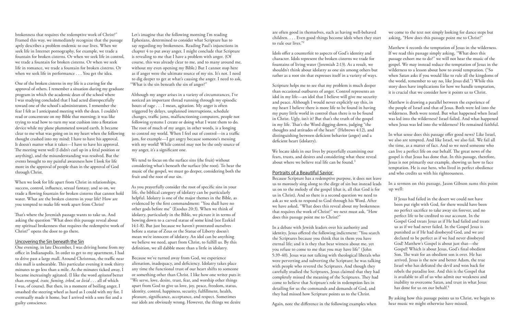we come to the text not simply looking for dance steps but asking, "How does this passage point me to Christ?"

Matthew 4 records the temptation of Jesus in the wilderness. If we read this passage simply asking, "What does this passage exhort me to do?" we will not hear the music of the gospel. We may instead reduce the temptation of Jesus in the wilderness to a lesson about how to avoid temptation. ("So when Satan asks if you would like to rule all the kingdoms of the world, remember to say no, like Jesus did.") While this story does have implications for how we handle temptation, it is crucial that we consider how it points us to Christ.

Matthew is drawing a parallel between the experience of the people of Israel and that of Jesus. Both were led into the wilderness. Both were tested. But what happened when Israel was led into the wilderness? Israel failed. And what happened when Jesus was led into the wilderness? He remained faithful.

In what sense does this passage offer good news? Like Israel, we also are tempted. And like Israel, we also fail. We fail all the time, as a matter of fact. And so we need someone who can live a perfect life on our behalf. The great news of the gospel is that Jesus has done that. In this passage, therefore, Jesus is not primarily our example, showing us how to face temptation. He is our hero, who lived in perfect obedience and who credits us with his righteousness.

We locate idols in our lives by prayerfully examining our fears, trusts, and desires and considering what these reveal about where we believe real life can be found.<sup>3</sup>

> By asking how this passage points us to Christ, we begin to hear music we might otherwise have missed.

are often good in themselves, such as having well-behaved children. . . . Even good things become idols when they start to rule our lives."2

In a sermon on this passage, Jason Gibson sums this point up well: If Jesus had failed in the desert we could not have been put right with God, for there would have been no perfect sacrifice to take away sin forever, and no perfect life to be credited to our account. In the Gospel God treats Jesus as if He had failed and treats us as if we had never failed. In the Gospel Jesus is punished as if He had disobeyed God, and we are declared to be perfect as if we had never disobeyed God! Matthew's Gospel is about just that—the Gospel! Which is about Jesus, God's final obedient Son. The wait for an obedient son is over. He has arrived. Jesus is the new and better Adam, the true Israel who has defeated the devil and won back for rebels the paradise lost. And this is the Gospel that is available to all of us who admit our weakness and inability to overcome Satan, and trust in what Jesus has done for us on our behalf.<sup>4</sup> Because Scripture has a redemptive purpose, it does not leave us to morosely sing along to the dirge of sin but instead leads us on to the melody of the gospel (that is, all that God is for us in Christ). And so there is a second question we need to

Idols offer a counterfeit to aspects of God's identity and character. Idols represent the broken cisterns we trade for fountains of living water (Jeremiah 2:13). As a result, we shouldn't think about idolatry as one sin among others but rather as a root sin that expresses itself in a variety of ways.

Scripture helps me to see that my problem is much deeper than occasional outbursts of anger. Control represents an idol in my life—an idol that I believe will give me security and peace. Although I would never explicitly say this, in my heart I believe there is more life to be found in having my puny little world in control than there is to be found in Christ. Ugly, isn't it? But that's the truth of the gospel in my life. That's the Word digging down, judging "the thoughts and attitudes of the heart" (Hebrews 4:12), and distinguishing between deficient behavior (anger) and a deficient heart (idolatry).

That's where the Jeremiah passage wants to take us. And asking the question "What does this passage reveal about my spiritual brokenness that requires the redemptive work of Christ?" opens the door to go there.

## Portraits of a Beautiful Savior

ask as we seek to respond to God through his Word. After we have asked, "What does this reveal about my brokenness that requires the work of Christ?" we next must ask, "How does this passage point me to Christ?" In a debate with Jewish leaders over his authority and identity, Jesus offered the following indictment: "You search the Scriptures because you think that in them you have eternal life; and it is they that bear witness about me, yet you refuse to come to me that you may have life" (John 5:39-40). Jesus was not talking with theological liberals who were perverting and subverting the Scripture; he was talking with people who revered the Scriptures. And though they carefully studied the Scriptures, Jesus claimed that they had completely missed the meaning of the Scriptures. They had come to believe that Scripture's role in redemption lies in detailing for us the commands and demands of God, and they had missed how Scripture points us to the Christ.

Again, note the difference in the following examples when

brokenness that requires the redemptive work of Christ?" Framed this way, we immediately recognize that the passage aptly describes a problem endemic to our lives. When we seek life in Internet pornography, for example, we trade a fountain for broken cisterns. Or when we seek life in control, we trade a fountain for broken cisterns. Or when we seek life in romance, we trade a fountain for broken cisterns. Or when we seek life in performance . . . You get the idea.

One of the broken cisterns in my life is a craving for the approval of others. I remember a situation during my graduate program in which the academic dean of the school where I was studying concluded that I had acted disrespectfully toward one of the school's administrators. I remember the fear I felt as I anticipated meeting with the dean. I couldn't read or concentrate on my Bible that morning; it was like trying to read how to turn my seat cushion into a flotation device while my plane plummeted toward earth. It became clear to me what was going on in my heart when the following thought crashed into my mind: I have to have his approval. It doesn't matter what it takes—I have to have his approval. The meeting went well (I didn't curl up in a fetal position or anything), and the misunderstanding was resolved. But the events brought to my painful awareness how I look for life more in the approval of people than in the approval of God through Christ.

When we look for life apart from Christ in relationships, success, control, influence, sexual fantasy, and so on, we trade a flowing fountain for broken cisterns that cannot hold water. What are the broken cisterns in your life? How are you tempted to make life work apart from Christ?

#### Uncovering the Sin beneath the Sin

One evening, in late December, I was driving home from my office in Indianapolis. In order to get to my apartment, I had to drive past a large mall. Around Christmas, the traffic near this mall is unbearable. This particular evening it took thirty minutes to go less than a mile. As the minutes ticked away, I became increasingly agitated. (I like the word *agitated* better than *enraged, irate, fuming, irked*, or *livid* . . . all of which I was, of course). But then, in a moment of boiling anger, I smashed the steering wheel as hard as I could with my fist. I eventually made it home, but I arrived with a sore fist and a guilty conscience.

Let's imagine that the following morning I'm reading Ephesians, determined to consider what Scripture has to say regarding my brokenness. Reading Paul's injunctions in chapter 4 to put away anger, I might conclude that Scripture is revealing to me that I have a problem with anger. (Of course, this was already clear to me, and to many around me, without my even opening my Bible.) But I cannot stop here as if anger were the ultimate source of my sin. It's not. I need to dig deeper to get at what's causing the anger. I need to ask, "What is the sin beneath the sin of anger?"

Although my anger arises in a variety of circumstances, I've noticed an important thread running through my episodic bouts of rage . . . I mean, agitation. My anger is often triggered by delays, unplanned interruptions, schedule changes, traffic jams, malfunctioning computers, people not following systems I create or doing what I want them to do. The root of much of my anger, in other words, is a longing to control my world. When I feel out of control—in a traffic jam, for example—I get angry because someone's messing with my world! While control may not be the only source of my anger, it's a significant one.

We tend to focus on the surface sins (the fruit) without considering what's beneath the surface (the root). To hear the music of the gospel, we must go deeper, considering both the fruit and the root of our sin.

As you prayerfully consider the root of specific sins in your life, the biblical category of idolatry can be particularly helpful. Idolatry is one of the major themes in the Bible, as evidenced by the first commandment: "You shall have no other gods before me" (Exodus 20:3). When we think of idolatry, particularly in the Bible, we picture it in terms of bowing down to a carved statue of some kind (see Ezekiel 14:1-8). But just because we haven't prostrated ourselves before a statue of Zeus or the Statue of Liberty doesn't mean we're innocent of idolatry. An idol can be anything we believe we need, apart from Christ, to fulfill us. By this definition, we all dabble more than a little in idolatry.

Because we've turned away from God, we experience alienation, inadequacy, and deficiency. Idolatry takes place any time the functional trust of our heart shifts to someone or something other than Christ. I like how one writer puts it: "We serve, love, desire, trust, fear, and worship other things apart from God to give us love, joy, peace, freedom, status, identity, control, happiness, security, fulfillment, health, pleasure, significance, acceptance, and respect. Sometimes our idols are obviously wrong. However, the things we desire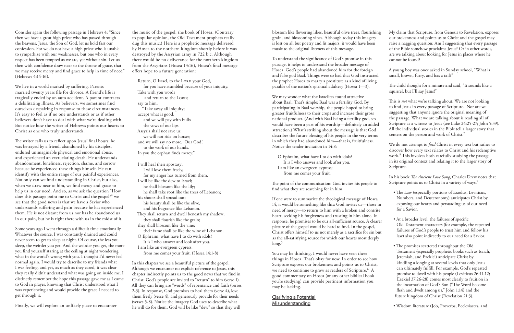| ıg | My claim that Scripture, from Genesis to Revelation, exposes<br>our brokenness and points us to Christ and the gospel may                                                                                 |
|----|-----------------------------------------------------------------------------------------------------------------------------------------------------------------------------------------------------------|
|    | raise a nagging question: Am I suggesting that every passage<br>of the Bible somehow proclaims Jesus? Or in other words,<br>are we talking about looking for Jesus in places where he<br>cannot be found? |
|    | A young boy was once asked in Sunday school, "What is<br>small, brown, furry, and has a tail?"                                                                                                            |
|    | The child thought for a minute and said, "It sounds like a<br>squirrel, but I'll say Jesus!"                                                                                                              |

This is *not* what we're talking about. We are not looking to find Jesus in every passage of Scripture. Nor are we suggesting that anyone ignore the original meaning of the passage. What we are talking about is reading all of Scripture as a witness to Jesus (see Luke 24:25-27; John 5:39). All the individual stories in the Bible tell a larger story that centers on the person and work of Christ.7

In his book *Te Ancient Love Song*, Charles Drew notes that Scripture points us to Christ in a variety of ways.<sup>9</sup>

| • The Law (especially portions of Exodus, Leviticus, |
|------------------------------------------------------|
| Numbers, and Deuteronomy) anticipates Christ by      |
| exposing our hearts and persuading us of our need    |
| for a Savior.                                        |

We do not attempt to *find* Christ in every text but rather to discover how every text relates to Christ and his redemptive work.<sup>8</sup> This involves both carefully studying the passage in its original context and relating it to the larger story of Scripture.

blossom like flowering lilies, beautiful olive trees, flourishin grain, and blossoming vines. Although today this imagery is lost on all but poetry and lit majors, it would have been music to the original listeners of this message.

The point of the communication: God invites his people to find what they are searching for in him.

If one were to summarize the theological message of Hosea 14, it would be something like this: God invites us—those in need of mercy—to return to him with a broken and contrite heart, seeking his forgiveness and trusting in him alone. In response, he promises to be our all-sufficient source. A clearer picture of the gospel would be hard to find. In the gospel, Christ offers himself to us not merely as a sacrifice for sin but as the all-satisfying source for which our hearts most deeply  $long.<sup>5</sup>$ 

- At a broader level, the failures of specific Old Testament characters (for example, the repeated failures of God's people to trust him and follow his law) also point indirectly to our need for a Savior.
	- The promises scattered throughout the Old Testament (especially prophetic books such as Isaiah, Jeremiah, and Ezekiel) anticipate Christ by kindling a longing at several levels that only Jesus can ultimately fulfill. For example, God's repeated promise to dwell with his people (Leviticus 26:11-12; Ezekiel 37:26-28) comes most clearly to fruition in the incarnation of God's Son ("The Word become flesh and dwelt among us," John 1:14) and the future kingdom of Christ (Revelation 21:3).
	- Wisdom literature (Job, Proverbs, Ecclesiastes, and

To understand the significance of God's promise in this passage, it helps to understand the broader message of Hosea. God's people had abandoned him for the foreign and false god Baal. Things were so bad that God instructed the prophet Hosea to marry a prostitute as a kind of living parable of the nation's spiritual adultery (Hosea 1—3).

We may wonder what the Israelites found attractive about Baal. That's simple: Baal was a fertility God. By participating in Baal worship, the people hoped to bring greater fruitfulness to their crops and increase their gross national product. (And with Baal being a fertility god, sex would have been a part of his worship—definitely an added attraction.) What's striking about the message is that God describes the future blessing of his people in the very terms in which they had abandoned him—that is, fruitfulness. Notice the tender invitation in 14:8:

The writer calls us to reflect upon Jesus' final hours: he was betrayed by a friend, abandoned by his disciples, endured unimaginable physical and emotional abuse, and experienced an excruciating death. He understands abandonment, loneliness, rejection, shame, and sorrow because he experienced these things himself. He can identify with the entire range of our painful experiences. Not only can we find understanding in Christ, but also, when we draw near to him, we find mercy and grace to help us in our need. And so, as we ask the question "How does this passage point me to Christ and the gospel?" we see that the good news is that we have a Savior who understands suffering and pain because he has experienced them. He is not distant from us nor has he abandoned us in our pain, but he is right there with us in the midst of it.

O Ephraim, what have I to do with idols? It is I who answer and look after you. I am like an evergreen cypress; from me comes your fruit.

You may be thinking, I would never have seen these things in Hosea. That's okay for now. In order to see how Scripture exposes our brokenness and points us to Christ, we need to continue to grow as readers of Scripture.<sup>6</sup> A good commentary on Hosea (or any other biblical book you're studying) can provide pertinent information you may be lacking.

Clarifying a Potential Misunderstanding

Consider again the following passage in Hebrews 4: "Since then we have a great high priest who has passed through the heavens, Jesus, the Son of God, let us hold fast our confession. For we do not have a high priest who is unable to sympathize with our weaknesses, but one who in every respect has been tempted as we are, yet without sin. Let us then with confidence draw near to the throne of grace, that we may receive mercy and find grace to help in time of need" (Hebrews 4:14-16).

We live in a world marked by suffering. Parents married twenty years file for divorce. A friend's life is tragically ended by an auto accident. A parent contracts a debilitating illness. As believers, we sometimes find ourselves despairing in response to these circumstances. It's easy to feel as if no one understands or as if other believers don't have to deal with what we're dealing with. But notice how the writer of Hebrews points our hearts to Christ as one who truly understands.

Some years ago I went through a difficult time emotionally. Whatever the source, I was constantly drained and could never seem to get to sleep at night. Of course, the less you sleep, the weirder you get. And the weirder you get, the more you find yourself staring at the ceiling at night wondering what in the world's wrong with you. I thought I'd never feel normal again. I would try to describe to my friends what I was feeling, and yet, as much as they cared, it was clear they really didn't understand what was going on inside me. I distinctly remember the hope this passage gave me as I came to God in prayer, knowing that Christ understood what I was experiencing and would provide the grace I needed to get through it.

Finally, we will explore an unlikely place to encounter

the music of the gospel: the book of Hosea. (Contrary to popular opinion, the Old Testament prophets really dug this music.) Here is a prophetic message delivered by Hosea to the northern kingdom shortly before it was destroyed by the Assyrian army in 722 b.c. Although there would be no deliverance for the northern kingdom from the Assyrians (Hosea 13:16), Hosea's final message offers hope to a future generation:

Return, O Israel, to the LORD your God, for you have stumbled because of your iniquity. Take with you words and return to the LORD; say to him, "Take away all iniquity; accept what is good, and we will pay with bulls the vows of our lips. Assyria shall not save us; we will not ride on horses; and we will say no more, 'Our God,' to the work of our hands. In you the orphan finds mercy."

I will heal their apostasy; I will love them freely, for my anger has turned from them. I will be like the dew to Israel; he shall blossom like the lily; he shall take root like the trees of Lebanon; his shoots shall spread out; his beauty shall be like the olive, and his fragrance like Lebanon. They shall return and dwell beneath my shadow; they shall flourish like the grain; they shall blossom like the vine; their fame shall be like the wine of Lebanon. O Ephraim, what have I to do with idols? It is I who answer and look after you. I am like an evergreen cypress; from me comes your fruit. (Hosea 14:1-8)

In this chapter we see a beautiful picture of the gospel. Although we encounter no explicit reference to Jesus, this chapter indirectly points us to the good news that we find in Christ. God's people are invited to "return" to him (verse 1). All they can bring are "words" of repentance and faith (verses 2-3). In response, God promises to heal them (verse 4), love them freely (verse 4), and generously provide for their needs (verses 5-8). Notice the imagery God uses to describe what he will do for them. God will be like "dew" so that they will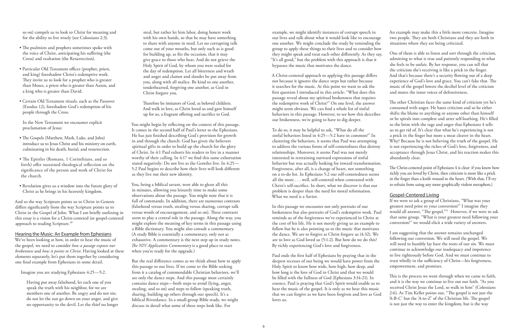A Christ-centered approach to applying this passage differs not because it ignores the dance steps but rather because it searches for the music. At this point we want to ask the first question I introduced in this article: "What does this passage reveal about my spiritual brokenness that requires the redemptive work of Christ?" On one level, the answer might seem obvious. We can find a whole list of sinful behaviors in this passage. However, to see how this describes our brokenness, we're going to have to dig deeper.

example, we might identify instances of corrupt speech in our lives and talk about what it would look like to encourage one another. We might conclude the study by reminding the group to apply these things to their lives and to consider how they might speak and treat each other differently. As they say, "It's all good," but the problem with this approach is that it bypasses the music that motivates the dance. An example may make this a little more concrete. Imagine two people. They are both Christians and they are both in situations where they are being criticized. One of them is able to listen and sort through the criticism, she feels to be unfair. By her response, you can tell that

> The other Christian faces the same kind of criticism yet he's consumed with anger. He hates criticism and so he either shifts the blame to anything or anyone other than himself or he spirals into complete and utter self-loathing. He's filled to the brim with the rage and anger that Ephesians 4 tells us to get rid of. It's clear that what he's experiencing is not

In this passage we encounter not only portraits of our brokenness but also portraits of God's redemptive work. Paul reminds us of the forgiveness we've experienced in Christ at the cost of his life. He is not merely giving us an example to follow but he is also pointing us to the music that motivates the dance. We are to forgive as Christ forgave us (4:32). We are to love as God loved us (5:1-2). But how do we do this? By richly experiencing God's love and forgiveness.

To do so, it may be helpful to ask, "What do all the sinful behaviors listed in 4:25—5:2 have in common?" In clustering the behaviors, it seems that Paul was attempting to address the various forms of self-centeredness that destroy relationships. Moreover, it seems Paul was not merely interested in restraining outward expressions of sinful behavior but was actually looking for inward transformation. Forgiveness, after all, is a change of heart, not something on a to-do list. In Ephesians 5:2 our self-centeredness seems all the more . . . well, self-centered when contrasted with Christ's self-sacrifice. In short, what we discover is that our problem is deeper than the need for moral reformation. What we need is a Savior. a prick in the finger but more a meat cleaver in the heart. Why? Because he is not believing the truth of the gospel. He is not experiencing the riches of God's love, forgiveness, and acceptance through Jesus Christ, and his reaction makes this abundantly clear. The Christ-centered point of Ephesians 4 is clear: if you know how richly you are loved by Christ, then criticism is more like a prick in the finger than a knife wound to the heart. (With that, I'll try to refrain from using any more graphically violent metaphors.) Gospel-Centered Living

- The psalmists and prophets sometimes spoke with the voice of Christ, anticipating his suffering (the Cross) and exaltation (the Resurrection).
- Particular Old Testament offices (prophet, priest, and king) foreshadow Christ's redemptive work. They invite us to look for a prophet who is greater than Moses, a priest who is greater than Aaron, and a king who is greater than David.
- Certain Old Testament rituals, such as the Passover (Exodus 12), foreshadow God's redemption of his people through the Cross.

admitting to what is true and patiently responding to what the criticism she's receiving is like a prick in the finger. And that's because there's a security flowing out of a deep experience of God's love and grace. You can't fake that. The music of the gospel lowers the decibel level of the criticism and mutes the inner voices of defensiveness.

- The Gospels (Matthew, Mark, Luke, and John) introduce us to Jesus Christ and his ministry on earth, culminating in his death, burial, and resurrection.
- The Epistles (Romans, 1 Corinthians, and so forth) offer sustained theological reflection on the significance of the person and work of Christ for the church.
- Revelation gives us a window into the future glory of Christ as he brings in his heavenly kingdom.

And so the way Scripture points us to Christ in Genesis differs significantly from the way Scripture points us to Christ in the Gospel of John. What I am briefly outlining in this essay is a vision for a Christ-centered (or gospel-centered approach to reading Scripture.<sup>10</sup>

> Paul ends the first half of Ephesians by praying that in the deepest recesses of our being we would have power from the Holy Spirit to know how wide, how high, how deep, and how long is the love of God in Christ and that we would be filled with the fullness of God (Ephesians 3:14-21). In essence, Paul is praying that God's Spirit would enable us to hear the music of the gospel. It is only as we hear this music that we can forgive as we have been forgiven and love as God loves us. trust wholly in the sufficiency of Christ—his forgiveness, empowerment, and promises. This is the process we went through when we came to faith, and it is the way we continue to live out our faith. "As you received Christ Jesus the Lord, so walk in him" (Colossians 2:6). As Tim Keller points out, "The gospel is not just the 'A-B-C' but the 'A-to-Z' of the Christian life. The gospel is not just the way to enter the kingdom, but is the way

Therefore be imitators of God, as beloved children. And walk in love, as Christ loved us and gave himself up for us, a fragrant offering and sacrifice to God.

> If we were to ask a group of Christians, "What was your greatest need prior to your conversion?" I imagine they would all answer, "The gospel."<sup>11</sup> However, if we were to ask that same group, "What is your greatest need following your conversion?" we would elicit a wide variety of answers.

I am suggesting that the answer remains unchanged following our conversion. We still need the gospel. We still need to humbly lay bare the roots of our sin. We must continue to acknowledge our inadequacy and impotence to live righteously before God. And we must continue to

so on) compels us to look to Christ for meaning and for the ability to live wisely (see Colossians 2:3).

In the New Testament we encounter explicit proclamation of Jesus:

#### Hearing the Music: An Example from Ephesians

We've been looking at how, in order to hear the music of the gospel, we need to consider *how a passage exposes our brokenness* and *how it points to Christ*. Having looked at these elements separately, let's put them together by considering one final example from Ephesians in some detail.

Imagine you are studying Ephesians 4:25—5:2.

Having put away falsehood, let each one of you speak the truth with his neighbor, for we are members one of another. Be angry and do not sin; do not let the sun go down on your anger, and give no opportunity to the devil. Let the thief no longer

steal, but rather let him labor, doing honest work with his own hands, so that he may have something to share with anyone in need. Let no corrupting talk come out of your mouths, but only such as is good for building up, as fits the occasion, that it may give grace to those who hear. And do not grieve the Holy Spirit of God, by whom you were sealed for the day of redemption. Let all bitterness and wrath and anger and clamor and slander be put away from you, along with all malice. Be kind to one another, tenderhearted, forgiving one another, as God in Christ forgave you.

You might begin by reflecting on the context of this passage. It comes in the second half of Paul's letter to the Ephesians. He has just finished describing God's provision for growth in and through the church: God has given the believers spiritual gifts in order to build up the church for the glory of Christ. In 4:1 Paul exhorts his readers to live in a manner worthy of their calling. In 4:17 we find this same exhortation stated negatively: Do not live as the Gentiles live. In 4:25— 5:2 Paul begins to describe how their lives will look different as they live out their new identity.

You, being a biblical savant, were able to glean all this in minutes, allowing you leisurely time to make some observations about the passage. You might note that it is full of commands. In addition, there are numerous contrasts (falsehood versus truth, stealing versus sharing, corrupt talk versus words of encouragement, and so on). These contrasts seem to play a central role in the passage. Along the way, you might explore the meaning of key terms in this passage using a Bible dictionary. You might also consult a commentary. (A study Bible is essentially a commentary, only not as exhaustive. A commentary is the next step up in study notes. *Te NIV Application Commentary* is a good place to start when you're ready for the upgrade.)

But the real difference comes as we think about how to apply this passage to our lives. If we come to the Bible seeking from it a catalog of commendable Christian behaviors, we'll see only the dance steps. And this passage most certainly contains dance steps—both steps to avoid (lying, anger, stealing, and so on) and steps to follow (speaking truth, sharing, building up others through our speech). It's a biblical Riverdance. In a small-group Bible study, we might discuss in detail what some of these steps look like. For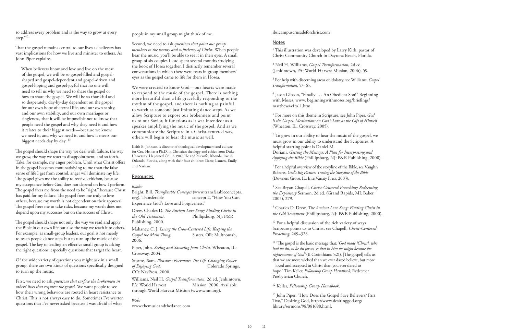## ibs.campuscrusadeforchrist.com

# Notes

 $1$  This illustration was developed by Larry Kirk, pastor of Christ Community Church in Daytona Beach, Florida.

2 Neil H. Williams, *Gospel Transformation*, 2d ed. (Jenkintown, PA: World Harvest Mission, 2006), 59.

<sup>4</sup> Jason Gibson, "Finally . . . An Obedient Son!" Beginning with Moses, www. beginningwithmoses.org/briefings/ matthew4v1to11.htm.

3 For help with discerning areas of idolatry, see Williams, *Gospel Transformation*, 57–65.

 $6$  To grow in our ability to hear the music of the gospel, we must grow in our ability to understand the Scriptures. A helpful starting point is Daniel M. Doriani, *Getting the Message: A Plan for Interpreting and Applying the Bible* (Phillipsburg, NJ: P&R Publishing, 2000).

5 For more on this theme in Scripture, see John Piper, *God Is the Gospel: Meditations on God's Love as the Gift of Himself* (Wheaton, IL: Crossway, 2005).

<sup>10</sup> For a helpful discussion of the rich variety of ways Scripture points us to Christ, see Chapell, *Christ-Centered Preaching*, 269–328.

<sup>11</sup> "The gospel is the basic message that: '*God made [Christ]*, who *had no sin, to be sin for us, so that in him we might become the righteousness of God'* (II Corinthians 5:21). [The gospel] tells us that we are more wicked than we ever dared believe, but more loved and accepted in Christ than you ever dared to hope." Tim Keller, *Fellowship Group Handbook*, Redeemer Presbyterian Church.

7 For a helpful overview of the storyline of the Bible, see Vaughn Roberts, *God's Big Picture: Tracing the Storyline of the Bible* (Downers Grove, IL: InterVarsity Press, 2003).

<sup>13</sup> John Piper, "How Does the Gospel Save Believers? Part Two," Desiring God, http://www.desiringgod.org/ library/sermons/98/081698.html.

to address every problem and is the way to grow at every step."<sup>12</sup>

That the gospel remains central to our lives as believers has vast implications for how we live and minister to others. As John Piper explains,

> 8 See Bryan Chapell, *Christ-Centered Preaching: Redeeming the Expository* Sermon, 2d ed. (Grand Rapids, MI: Baker, 2005), 279.

9 Charles D. Drew, T*he Ancient Love Song: Finding Christ in the Old Testament* (Phillipsburg, NJ: P&R Publishing, 2000).

The gospel should shape the way we deal with failure, the way we grow, the way we react to disappointment, and so forth. Take, for example, my anger problem. Until what Christ offers in the gospel becomes more satisfying to me than the false sense of life I get from control, anger will dominate my life. The gospel gives me the ability to receive criticism, because my acceptance before God does not depend on how I perform. The gospel frees me from the need to be "right," because Christ has paid for my failure. The gospel frees me truly to love others, because my worth is not dependent on their approval. The gospel frees me to take risks, because my worth does not depend upon my successes but on the success of Christ.

12 Keller, *Fellowship Group Handbook*.

The gospel should shape not only the way we read and apply the Bible in our own life but also the way we teach it to others. For example, as small-group leaders, our goal is not merely to teach people dance steps but to turn up the music of the gospel. The key to leading an effective small group is asking the right questions, especially questions that target the heart.

When believers know and love and live on the meat of the gospel, we will be so gospel-filled and gospelshaped and gospel-dependent and gospel-driven and gospel-hoping and gospel-joyful that no one will need to tell us why we need to share the gospel or how to share the gospel. We will be so thankful and so desperately, day-by-day dependent on the gospel for our own hope of eternal life, and our own sanity, and our own stability, and our own marriages or singleness, that it will be impossible not to know that people need the gospel and why they need it and how it relates to their biggest needs—because we know we need it, and why we need it, and how it meets our biggest needs day by day. 13

Of the wide variety of questions you might ask in a small group, there are two kinds of questions specifically designed to turn up the music.

First, we need to ask *questions that surface the brokenness in others' lives that requires the gospel.* We want people to see how their wrong behaviors are rooted in heart resistance to Christ. This is not always easy to do. Sometimes I've written questions that I've never asked because I was afraid of what

people in my small group might think of me.

Second, we need to ask *questions that point our group members to the beauty and sufficiency of Christ.* When people hear the music, you'll be able to see it in their eyes. A small group of six couples I lead spent several months studying the book of Hosea together. I distinctly remember several conversations in which there were tears in group members' eyes as the gospel came to life for them in Hosea.

We were created to know God—our hearts were made to respond to the music of the gospel. There is nothing more beautiful than a life gracefully responding to the rhythm of the gospel, and there is nothing as painful to watch as someone just imitating dance steps. As we allow Scripture to expose our brokenness and point us to our Savior, it functions as it was intended: as a speaker amplifying the music of the gospel. And as we communicate the Scripture in a Christ-centered way, others will begin to hear the music as well.

Keith E. Johnson is director of theological development and culture for Cru. He has a Ph.D. in Christian theology and ethics from Duke University. He joined Cru in 1987. He and his wife, Rhonda, live in Orlando, Florida, along with their four children: Drew, Lauren, Emily and Nathan.

## Resources

#### *Books:*

Bright, Bill. *Transferable Concepts* (www.transferableconcepts. concept 2, "How You Can Experience God's Love and Forgiveness,"

Drew, Charles D. *Te Ancient Love Song: Finding Christ in the Old Testament.* Phillipsburg, NJ: P&R Publishing, 2000.

Mahaney, C. J. *Living the Cross-Centered Life: Keeping the Gospel the Main Ting.* Sisters, OR: Multnomah, 2006.

Piper, John. *Seeing and Savoring Jesus Christ.* Wheaton, IL: Crossway, 2004.

Storms, Sam. *Pleasures Evermore: Te Life-Changing Power of Enjoying God.* Colorado Springs, CO: NavPress, 2000.

Williams, Neil H. *Gospel Transformation.* 2d ed. Jenkintown, Mission, 2006. Available through World Harvest Mission (www.whm.org).

*Web:*

www.themusicandthedance.com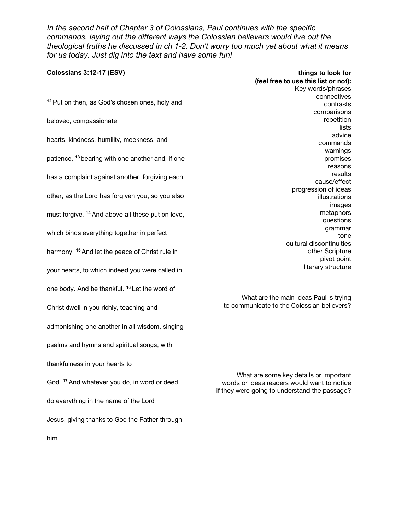*In the second half of Chapter 3 of Colossians, Paul continues with the specific commands, laying out the different ways the Colossian believers would live out the theological truths he discussed in ch 1-2. Don't worry too much yet about what it means for us today. Just dig into the text and have some fun!*

| Colossians 3:12-17 (ESV)                                     | things to look for<br>(feel free to use this list or not):<br>Key words/phrases              |
|--------------------------------------------------------------|----------------------------------------------------------------------------------------------|
| <sup>12</sup> Put on then, as God's chosen ones, holy and    | connectives<br>contrasts                                                                     |
| beloved, compassionate                                       | comparisons<br>repetition<br>lists                                                           |
| hearts, kindness, humility, meekness, and                    | advice<br>commands                                                                           |
| patience, <sup>13</sup> bearing with one another and, if one | warnings<br>promises<br>reasons                                                              |
| has a complaint against another, forgiving each              | results<br>cause/effect                                                                      |
| other; as the Lord has forgiven you, so you also             | progression of ideas<br>illustrations<br>images                                              |
| must forgive. <sup>14</sup> And above all these put on love, | metaphors<br>questions                                                                       |
| which binds everything together in perfect                   | grammar<br>tone<br>cultural discontinuities                                                  |
| harmony. <sup>15</sup> And let the peace of Christ rule in   | other Scripture<br>pivot point                                                               |
| your hearts, to which indeed you were called in              | literary structure                                                                           |
| one body. And be thankful. <sup>16</sup> Let the word of     | What are the main ideas Paul is trying                                                       |
| Christ dwell in you richly, teaching and                     | to communicate to the Colossian believers?                                                   |
| admonishing one another in all wisdom, singing               |                                                                                              |
| psalms and hymns and spiritual songs, with                   |                                                                                              |
| thankfulness in your hearts to                               | What are some key details or important                                                       |
| God. <sup>17</sup> And whatever you do, in word or deed,     | words or ideas readers would want to notice<br>if they were going to understand the passage? |
| do everything in the name of the Lord                        |                                                                                              |
| Jesus, giving thanks to God the Father through               |                                                                                              |
| him.                                                         |                                                                                              |